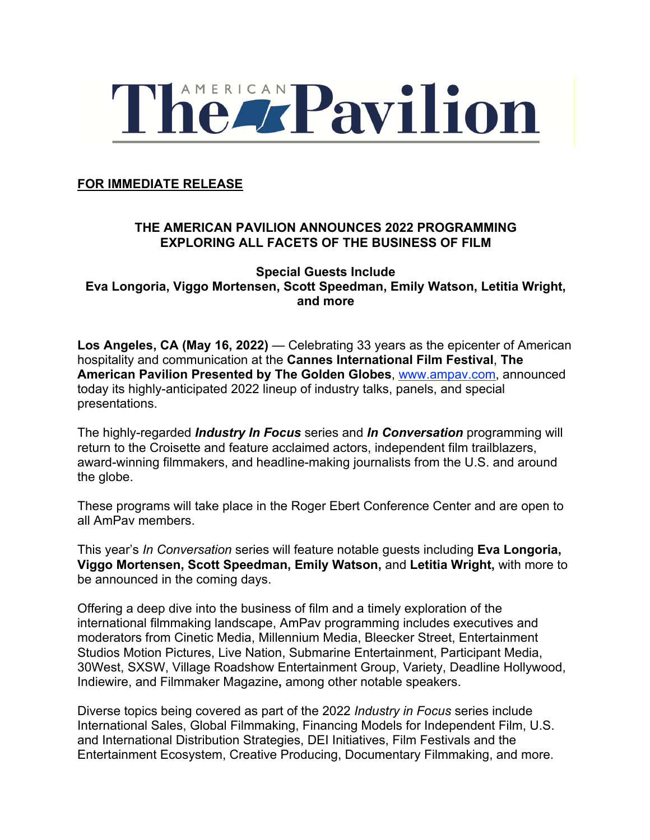

#### **FOR IMMEDIATE RELEASE**

### **THE AMERICAN PAVILION ANNOUNCES 2022 PROGRAMMING EXPLORING ALL FACETS OF THE BUSINESS OF FILM**

**Special Guests Include Eva Longoria, Viggo Mortensen, Scott Speedman, Emily Watson, Letitia Wright, and more** 

Los Angeles, CA (May 16, 2022) — Celebrating 33 years as the epicenter of American hospitality and communication at the **Cannes International Film Festival**, **The American Pavilion Presented by The Golden Globes**, www.ampav.com, announced today its highly-anticipated 2022 lineup of industry talks, panels, and special presentations.

The highly-regarded *Industry In Focus* series and *In Conversation* programming will return to the Croisette and feature acclaimed actors, independent film trailblazers, award-winning filmmakers, and headline-making journalists from the U.S. and around the globe.

These programs will take place in the Roger Ebert Conference Center and are open to all AmPav members.

This year's *In Conversation* series will feature notable guests including **Eva Longoria, Viggo Mortensen, Scott Speedman, Emily Watson,** and **Letitia Wright,** with more to be announced in the coming days.

Offering a deep dive into the business of film and a timely exploration of the international filmmaking landscape, AmPav programming includes executives and moderators from Cinetic Media, Millennium Media, Bleecker Street, Entertainment Studios Motion Pictures, Live Nation, Submarine Entertainment, Participant Media, 30West, SXSW, Village Roadshow Entertainment Group, Variety, Deadline Hollywood, Indiewire, and Filmmaker Magazine**,** among other notable speakers.

Diverse topics being covered as part of the 2022 *Industry in Focus* series include International Sales, Global Filmmaking, Financing Models for Independent Film, U.S. and International Distribution Strategies, DEI Initiatives, Film Festivals and the Entertainment Ecosystem, Creative Producing, Documentary Filmmaking, and more.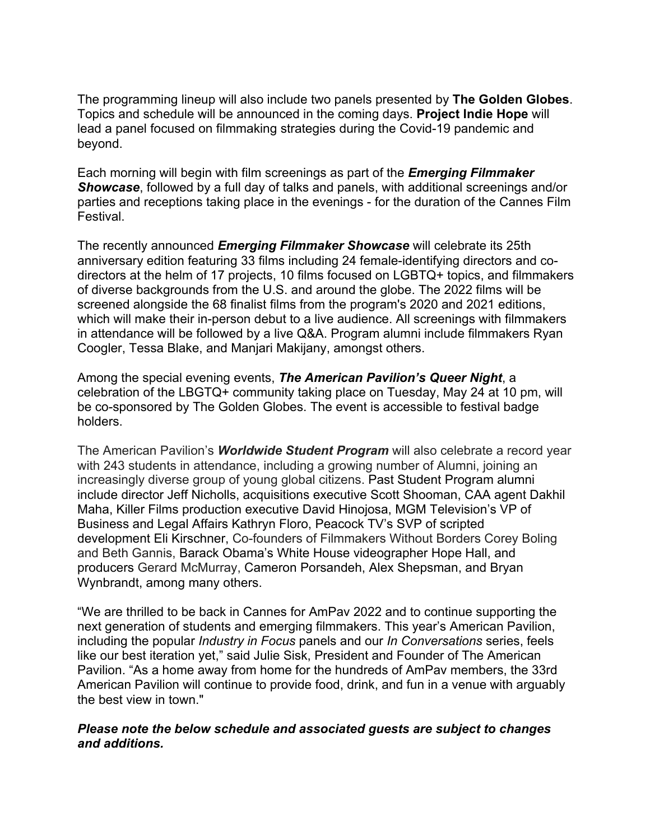The programming lineup will also include two panels presented by **The Golden Globes**. Topics and schedule will be announced in the coming days. **Project Indie Hope** will lead a panel focused on filmmaking strategies during the Covid-19 pandemic and beyond.

Each morning will begin with film screenings as part of the *Emerging Filmmaker Showcase*, followed by a full day of talks and panels, with additional screenings and/or parties and receptions taking place in the evenings - for the duration of the Cannes Film Festival.

The recently announced *Emerging Filmmaker Showcase* will celebrate its 25th anniversary edition featuring 33 films including 24 female-identifying directors and codirectors at the helm of 17 projects, 10 films focused on LGBTQ+ topics, and filmmakers of diverse backgrounds from the U.S. and around the globe. The 2022 films will be screened alongside the 68 finalist films from the program's 2020 and 2021 editions, which will make their in-person debut to a live audience. All screenings with filmmakers in attendance will be followed by a live Q&A. Program alumni include filmmakers Ryan Coogler, Tessa Blake, and Manjari Makijany, amongst others.

Among the special evening events, *The American Pavilion's Queer Night*, a celebration of the LBGTQ+ community taking place on Tuesday, May 24 at 10 pm, will be co-sponsored by The Golden Globes. The event is accessible to festival badge holders.

The American Pavilion's *Worldwide Student Program* will also celebrate a record year with 243 students in attendance, including a growing number of Alumni, joining an increasingly diverse group of young global citizens. Past Student Program alumni include director Jeff Nicholls, acquisitions executive Scott Shooman, CAA agent Dakhil Maha, Killer Films production executive David Hinojosa, MGM Television's VP of Business and Legal Affairs Kathryn Floro, Peacock TV's SVP of scripted development Eli Kirschner, Co-founders of Filmmakers Without Borders Corey Boling and Beth Gannis, Barack Obama's White House videographer Hope Hall, and producers Gerard McMurray, Cameron Porsandeh, Alex Shepsman, and Bryan Wynbrandt, among many others.

"We are thrilled to be back in Cannes for AmPav 2022 and to continue supporting the next generation of students and emerging filmmakers. This year's American Pavilion, including the popular *Industry in Focus* panels and our *In Conversations* series, feels like our best iteration yet," said Julie Sisk, President and Founder of The American Pavilion. "As a home away from home for the hundreds of AmPav members, the 33rd American Pavilion will continue to provide food, drink, and fun in a venue with arguably the best view in town."

#### *Please note the below schedule and associated guests are subject to changes and additions.*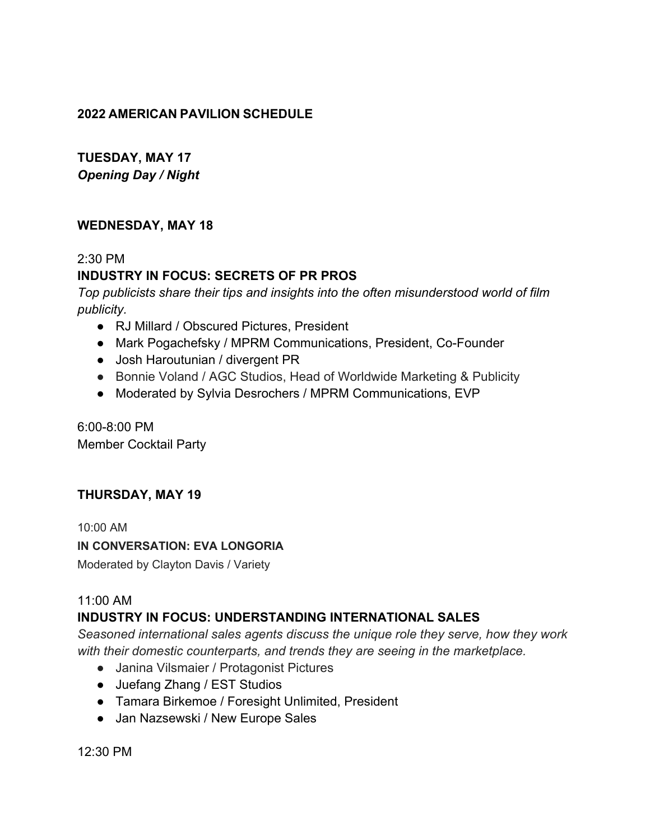### **2022 AMERICAN PAVILION SCHEDULE**

# **TUESDAY, MAY 17** *Opening Day / Night*

### **WEDNESDAY, MAY 18**

### 2:30 PM

# **INDUSTRY IN FOCUS: SECRETS OF PR PROS**

*Top publicists share their tips and insights into the often misunderstood world of film publicity.*

- RJ Millard / Obscured Pictures, President
- Mark Pogachefsky / MPRM Communications, President, Co-Founder
- Josh Haroutunian / divergent PR
- Bonnie Voland / AGC Studios, Head of Worldwide Marketing & Publicity
- Moderated by Sylvia Desrochers / MPRM Communications, EVP

6:00-8:00 PM Member Cocktail Party

### **THURSDAY, MAY 19**

10:00 AM

#### **IN CONVERSATION: EVA LONGORIA**

Moderated by Clayton Davis / Variety

#### 11:00 AM

### **INDUSTRY IN FOCUS: UNDERSTANDING INTERNATIONAL SALES**

*Seasoned international sales agents discuss the unique role they serve, how they work with their domestic counterparts, and trends they are seeing in the marketplace.*

- Janina Vilsmaier / Protagonist Pictures
- Juefang Zhang / EST Studios
- Tamara Birkemoe / Foresight Unlimited, President
- Jan Nazsewski / New Europe Sales

12:30 PM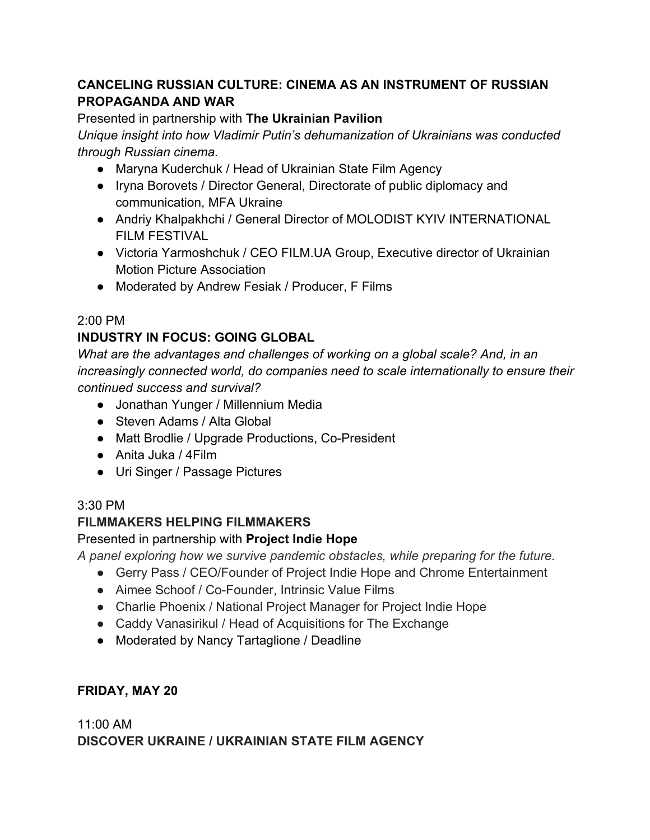# **CANCELING RUSSIAN CULTURE: CINEMA AS AN INSTRUMENT OF RUSSIAN PROPAGANDA AND WAR**

### Presented in partnership with **The Ukrainian Pavilion**

*Unique insight into how Vladimir Putin's dehumanization of Ukrainians was conducted through Russian cinema.*

- Maryna Kuderchuk / Head of Ukrainian State Film Agency
- Iryna Borovets / Director General, Directorate of public diplomacy and communication, MFA Ukraine
- Andriy Khalpakhchi / General Director of MOLODIST KYIV INTERNATIONAL FILM FESTIVAL
- Victoria Yarmoshchuk / CEO FILM.UA Group, Executive director of Ukrainian Motion Picture Association
- Moderated by Andrew Fesiak / Producer, F Films

## 2:00 PM

# **INDUSTRY IN FOCUS: GOING GLOBAL**

*What are the advantages and challenges of working on a global scale? And, in an increasingly connected world, do companies need to scale internationally to ensure their continued success and survival?*

- Jonathan Yunger / Millennium Media
- Steven Adams / Alta Global
- Matt Brodlie / Upgrade Productions, Co-President
- Anita Juka / 4Film
- Uri Singer / Passage Pictures

## 3:30 PM

## **FILMMAKERS HELPING FILMMAKERS**

## Presented in partnership with **Project Indie Hope**

*A panel exploring how we survive pandemic obstacles, while preparing for the future.* 

- Gerry Pass / CEO/Founder of Project Indie Hope and Chrome Entertainment
- Aimee Schoof / Co-Founder, Intrinsic Value Films
- Charlie Phoenix / National Project Manager for Project Indie Hope
- Caddy Vanasirikul / Head of Acquisitions for The Exchange
- Moderated by Nancy Tartaglione / Deadline

## **FRIDAY, MAY 20**

# 11:00 AM **DISCOVER UKRAINE / UKRAINIAN STATE FILM AGENCY**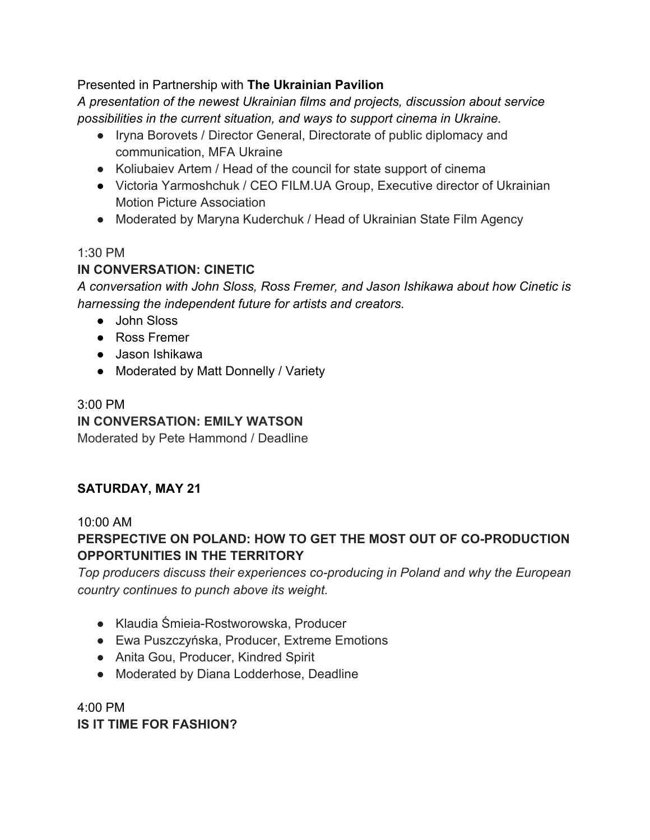### Presented in Partnership with **The Ukrainian Pavilion**

*A presentation of the newest Ukrainian films and projects, discussion about service possibilities in the current situation, and ways to support cinema in Ukraine.*

- Iryna Borovets / Director General, Directorate of public diplomacy and communication, MFA Ukraine
- Koliubaiev Artem / Head of the council for state support of cinema
- Victoria Yarmoshchuk / CEO FILM.UA Group, Executive director of Ukrainian Motion Picture Association
- Moderated by Maryna Kuderchuk / Head of Ukrainian State Film Agency

## 1:30 PM

# **IN CONVERSATION: CINETIC**

*A conversation with John Sloss, Ross Fremer, and Jason Ishikawa about how Cinetic is harnessing the independent future for artists and creators.*

- John Sloss
- Ross Fremer
- Jason Ishikawa
- Moderated by Matt Donnelly / Variety

# 3:00 PM **IN CONVERSATION: EMILY WATSON**

Moderated by Pete Hammond / Deadline

# **SATURDAY, MAY 21**

## 10:00 AM

# **PERSPECTIVE ON POLAND: HOW TO GET THE MOST OUT OF CO-PRODUCTION OPPORTUNITIES IN THE TERRITORY**

*Top producers discuss their experiences co-producing in Poland and why the European country continues to punch above its weight.*

- Klaudia Śmieia-Rostworowska, Producer
- Ewa Puszczyńska, Producer, Extreme Emotions
- Anita Gou, Producer, Kindred Spirit
- Moderated by Diana Lodderhose, Deadline

4:00 PM **IS IT TIME FOR FASHION?**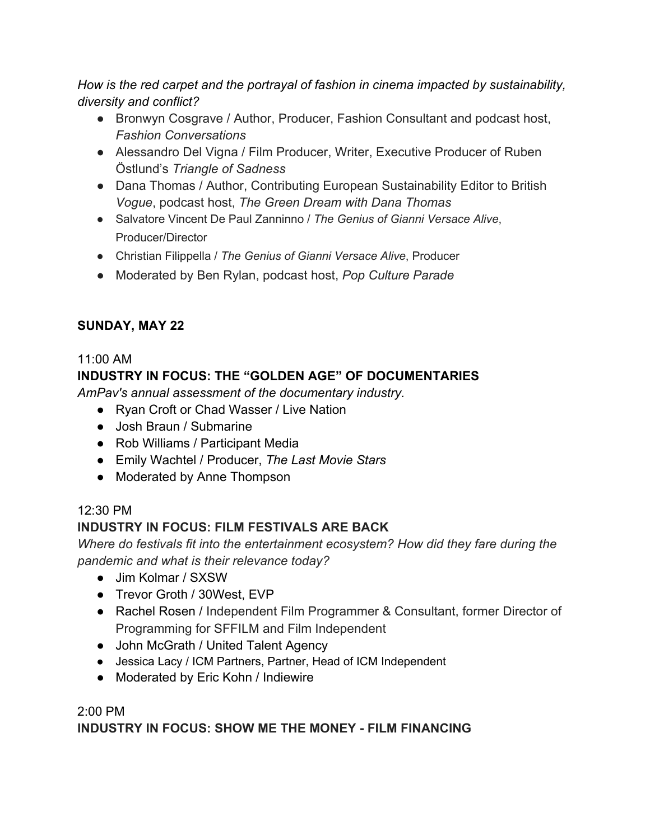*How is the red carpet and the portrayal of fashion in cinema impacted by sustainability, diversity and conflict?*

- Bronwyn Cosgrave / Author, Producer, Fashion Consultant and podcast host, *Fashion Conversations*
- Alessandro Del Vigna / Film Producer, Writer, Executive Producer of Ruben Östlund's *Triangle of Sadness*
- Dana Thomas / Author, Contributing European Sustainability Editor to British *Vogue*, podcast host, *The Green Dream with Dana Thomas*
- Salvatore Vincent De Paul Zanninno / *The Genius of Gianni Versace Alive*, Producer/Director
- Christian Filippella / *The Genius of Gianni Versace Alive*, Producer
- Moderated by Ben Rylan, podcast host, *Pop Culture Parade*

# **SUNDAY, MAY 22**

#### 11:00 AM **INDUSTRY IN FOCUS: THE "GOLDEN AGE" OF DOCUMENTARIES**

*AmPav's annual assessment of the documentary industry.* 

- Ryan Croft or Chad Wasser / Live Nation
- Josh Braun / Submarine
- Rob Williams / Participant Media
- Emily Wachtel / Producer, *The Last Movie Stars*
- Moderated by Anne Thompson

## 12:30 PM

# **INDUSTRY IN FOCUS: FILM FESTIVALS ARE BACK**

*Where do festivals fit into the entertainment ecosystem? How did they fare during the pandemic and what is their relevance today?*

- Jim Kolmar / SXSW
- Trevor Groth / 30West, EVP
- Rachel Rosen / Independent Film Programmer & Consultant, former Director of Programming for SFFILM and Film Independent
- John McGrath / United Talent Agency
- Jessica Lacy / ICM Partners, Partner, Head of ICM Independent
- Moderated by Eric Kohn / Indiewire

# 2:00 PM **INDUSTRY IN FOCUS: SHOW ME THE MONEY - FILM FINANCING**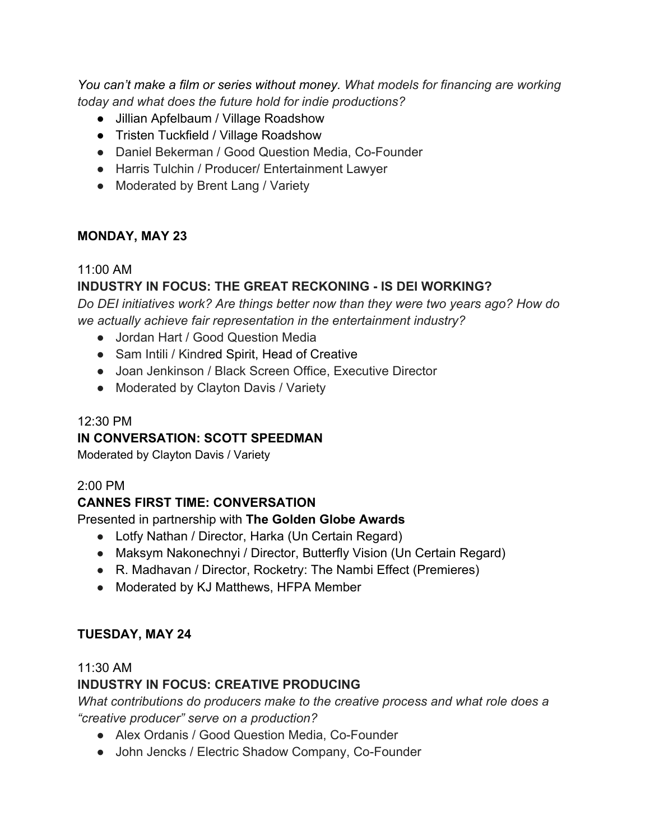You can't make a film or series without money. What models for financing are working *today and what does the future hold for indie productions?*

- Jillian Apfelbaum / Village Roadshow
- Tristen Tuckfield / Village Roadshow
- Daniel Bekerman / Good Question Media, Co-Founder
- Harris Tulchin / Producer/ Entertainment Lawyer
- Moderated by Brent Lang / Variety

### **MONDAY, MAY 23**

### 11:00 AM

## **INDUSTRY IN FOCUS: THE GREAT RECKONING - IS DEI WORKING?**

*Do DEI initiatives work? Are things better now than they were two years ago? How do we actually achieve fair representation in the entertainment industry?*

- Jordan Hart / Good Question Media
- Sam Intili / Kindred Spirit, Head of Creative
- Joan Jenkinson / Black Screen Office, Executive Director
- Moderated by Clayton Davis / Variety

### 12:30 PM

### **IN CONVERSATION: SCOTT SPEEDMAN**

Moderated by Clayton Davis / Variety

### 2:00 PM

### **CANNES FIRST TIME: CONVERSATION**

### Presented in partnership with **The Golden Globe Awards**

- Lotfy Nathan / Director, Harka (Un Certain Regard)
- Maksym Nakonechnyi / Director, Butterfly Vision (Un Certain Regard)
- R. Madhavan / Director, Rocketry: The Nambi Effect (Premieres)
- Moderated by KJ Matthews, HFPA Member

### **TUESDAY, MAY 24**

#### 11:30 AM

### **INDUSTRY IN FOCUS: CREATIVE PRODUCING**

*What contributions do producers make to the creative process and what role does a "creative producer" serve on a production?*

- Alex Ordanis / Good Question Media, Co-Founder
- John Jencks / Electric Shadow Company, Co-Founder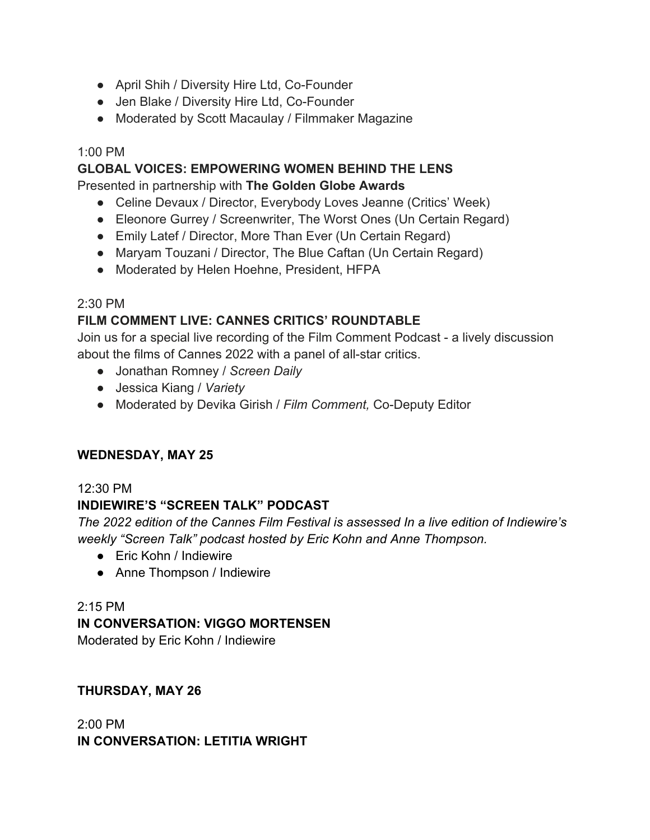- April Shih / Diversity Hire Ltd, Co-Founder
- Jen Blake / Diversity Hire Ltd, Co-Founder
- Moderated by Scott Macaulay / Filmmaker Magazine

### 1:00 PM

### **GLOBAL VOICES: EMPOWERING WOMEN BEHIND THE LENS**

Presented in partnership with **The Golden Globe Awards**

- Celine Devaux / Director, Everybody Loves Jeanne (Critics' Week)
- Eleonore Gurrey / Screenwriter, The Worst Ones (Un Certain Regard)
- Emily Latef / Director, More Than Ever (Un Certain Regard)
- Maryam Touzani / Director, The Blue Caftan (Un Certain Regard)
- Moderated by Helen Hoehne, President, HFPA

### 2:30 PM

## **FILM COMMENT LIVE: CANNES CRITICS' ROUNDTABLE**

Join us for a special live recording of the Film Comment Podcast - a lively discussion about the films of Cannes 2022 with a panel of all-star critics.

- Jonathan Romney / *Screen Daily*
- Jessica Kiang / *Variety*
- Moderated by Devika Girish / *Film Comment,* Co-Deputy Editor

### **WEDNESDAY, MAY 25**

### 12:30 PM

### **INDIEWIRE'S "SCREEN TALK" PODCAST**

*The 2022 edition of the Cannes Film Festival is assessed In a live edition of Indiewire's weekly "Screen Talk" podcast hosted by Eric Kohn and Anne Thompson.* 

- Eric Kohn / Indiewire
- Anne Thompson / Indiewire

#### 2:15 PM

### **IN CONVERSATION: VIGGO MORTENSEN**

Moderated by Eric Kohn / Indiewire

### **THURSDAY, MAY 26**

2:00 PM **IN CONVERSATION: LETITIA WRIGHT**